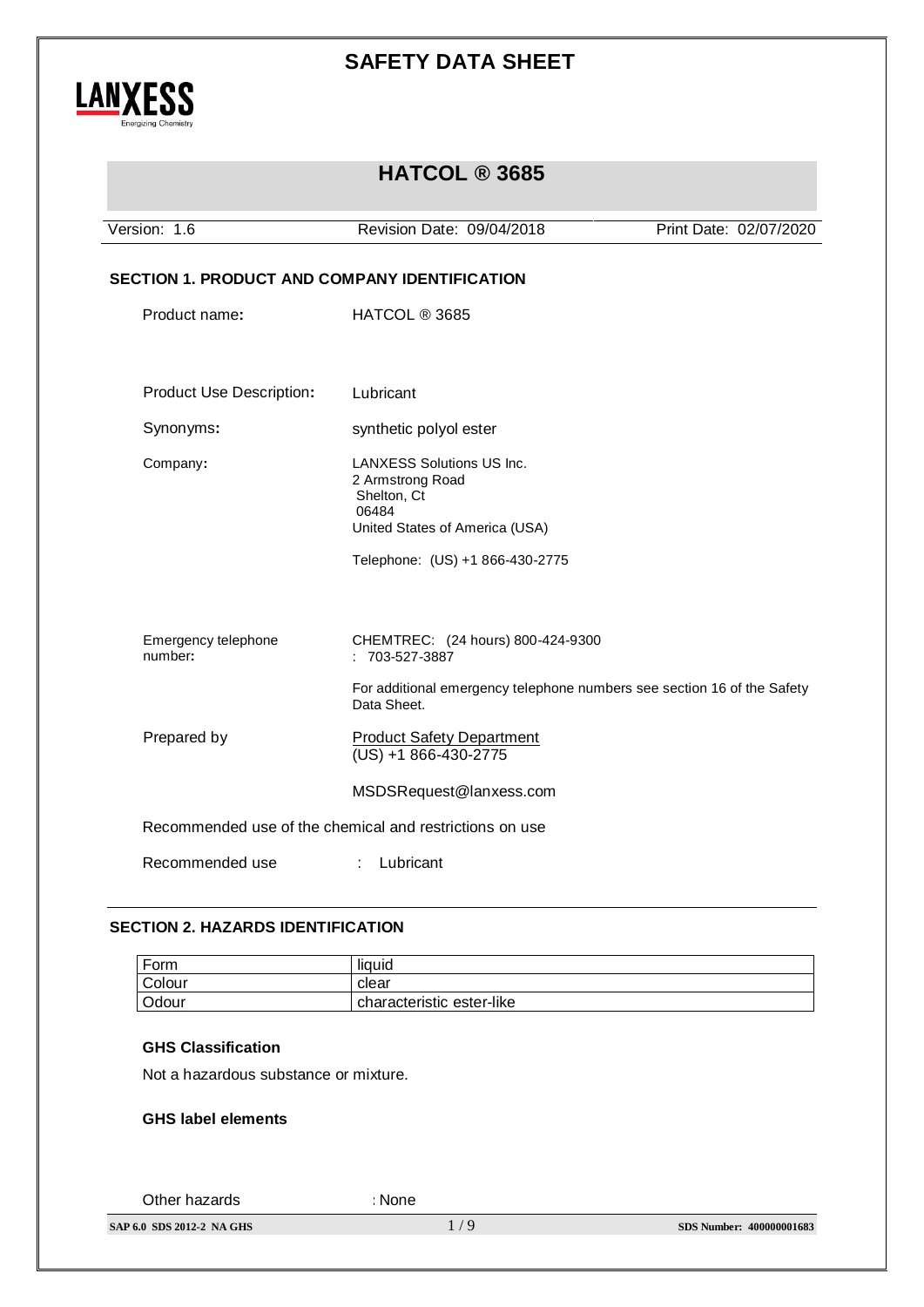

## **HATCOL ® 3685**

Version: 1.6 Revision Date: 09/04/2018 Print Date: 02/07/2020 **SECTION 1. PRODUCT AND COMPANY IDENTIFICATION** Product name: HATCOL ® 3685 Product Use Description**:** Lubricant Synonyms: synthetic polyol ester Company**:** LANXESS Solutions US Inc. 2 Armstrong Road Shelton, Ct 06484 United States of America (USA) Telephone: (US) +1 866-430-2775 Emergency telephone number**:** CHEMTREC: (24 hours) 800-424-9300 : 703-527-3887 For additional emergency telephone numbers see section 16 of the Safety Data Sheet. Prepared by Product Safety Department (US) +1 866-430-2775 MSDSRequest@lanxess.com Recommended use of the chemical and restrictions on use Recommended use : Lubricant

### **SECTION 2. HAZARDS IDENTIFICATION**

| Form   | liquid                    |
|--------|---------------------------|
| Colour | clear                     |
| Odour  | characteristic ester-like |

#### **GHS Classification**

Not a hazardous substance or mixture.

#### **GHS label elements**

Other hazards **:**None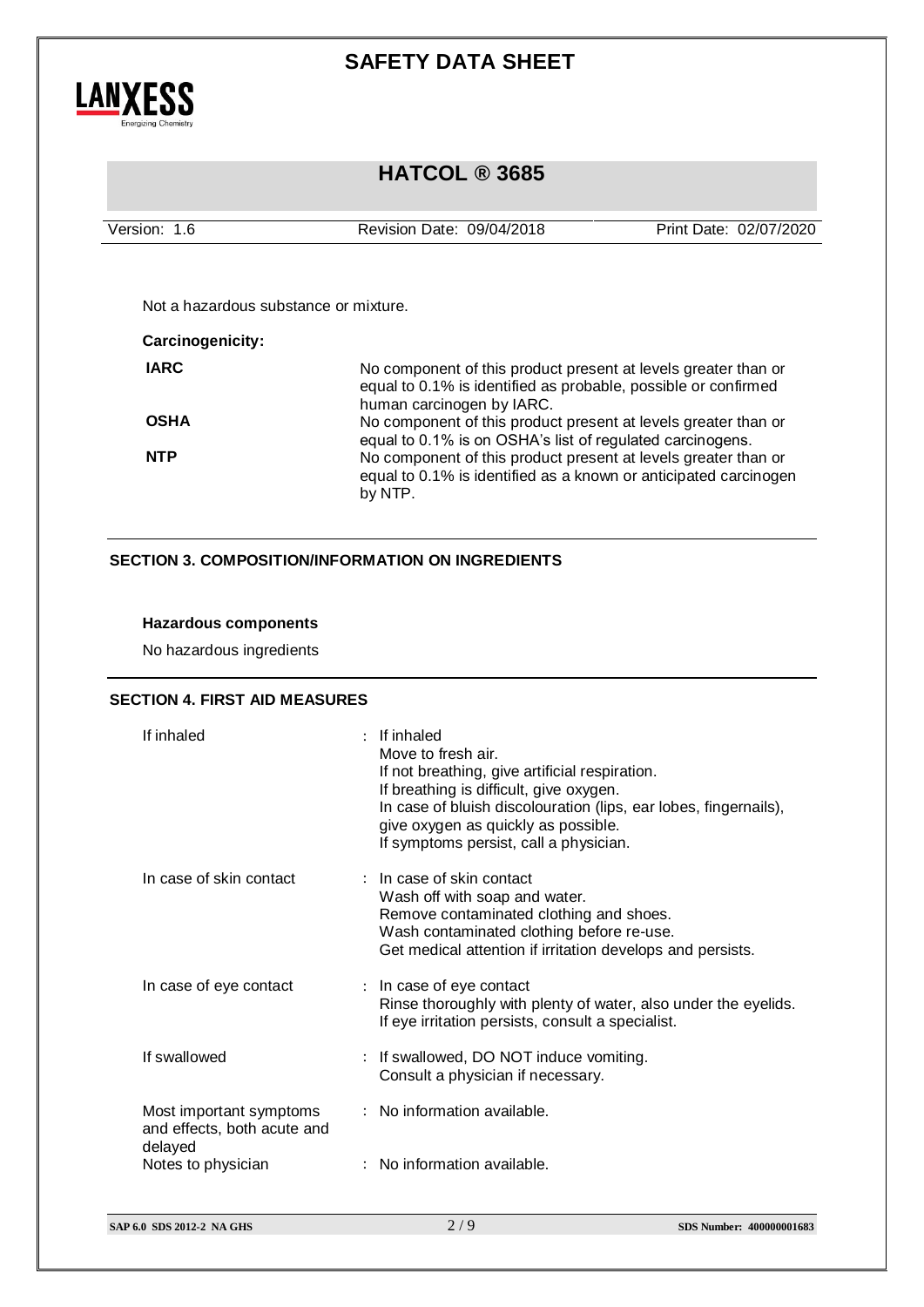

## **HATCOL ® 3685**

| Version: 1.6            | Revision Date: 09/04/2018                                                                                                                                     | Print Date: 02/07/2020                                                                                                      |  |  |
|-------------------------|---------------------------------------------------------------------------------------------------------------------------------------------------------------|-----------------------------------------------------------------------------------------------------------------------------|--|--|
|                         |                                                                                                                                                               |                                                                                                                             |  |  |
|                         | Not a hazardous substance or mixture.                                                                                                                         |                                                                                                                             |  |  |
| <b>Carcinogenicity:</b> |                                                                                                                                                               |                                                                                                                             |  |  |
| <b>IARC</b>             | No component of this product present at levels greater than or<br>equal to 0.1% is identified as probable, possible or confirmed<br>human carcinogen by IARC. |                                                                                                                             |  |  |
| <b>OSHA</b>             |                                                                                                                                                               | No component of this product present at levels greater than or<br>equal to 0.1% is on OSHA's list of regulated carcinogens. |  |  |
| <b>NTP</b>              | No component of this product present at levels greater than or<br>equal to 0.1% is identified as a known or anticipated carcinogen<br>by NTP.                 |                                                                                                                             |  |  |

### **SECTION 3. COMPOSITION/INFORMATION ON INGREDIENTS**

### **Hazardous components**

No hazardous ingredients

### **SECTION 4. FIRST AID MEASURES**

| If inhaled                                                        | $:$ If inhaled<br>Move to fresh air.<br>If not breathing, give artificial respiration.<br>If breathing is difficult, give oxygen.<br>In case of bluish discolouration (lips, ear lobes, fingernails),<br>give oxygen as quickly as possible.<br>If symptoms persist, call a physician. |
|-------------------------------------------------------------------|----------------------------------------------------------------------------------------------------------------------------------------------------------------------------------------------------------------------------------------------------------------------------------------|
| In case of skin contact                                           | $:$ In case of skin contact<br>Wash off with soap and water.<br>Remove contaminated clothing and shoes.<br>Wash contaminated clothing before re-use.<br>Get medical attention if irritation develops and persists.                                                                     |
| In case of eye contact                                            | : In case of eye contact<br>Rinse thoroughly with plenty of water, also under the eyelids.<br>If eye irritation persists, consult a specialist.                                                                                                                                        |
| If swallowed                                                      | : If swallowed, DO NOT induce vomiting.<br>Consult a physician if necessary.                                                                                                                                                                                                           |
| Most important symptoms<br>and effects, both acute and<br>delayed | : No information available.                                                                                                                                                                                                                                                            |
| Notes to physician                                                | : No information available.                                                                                                                                                                                                                                                            |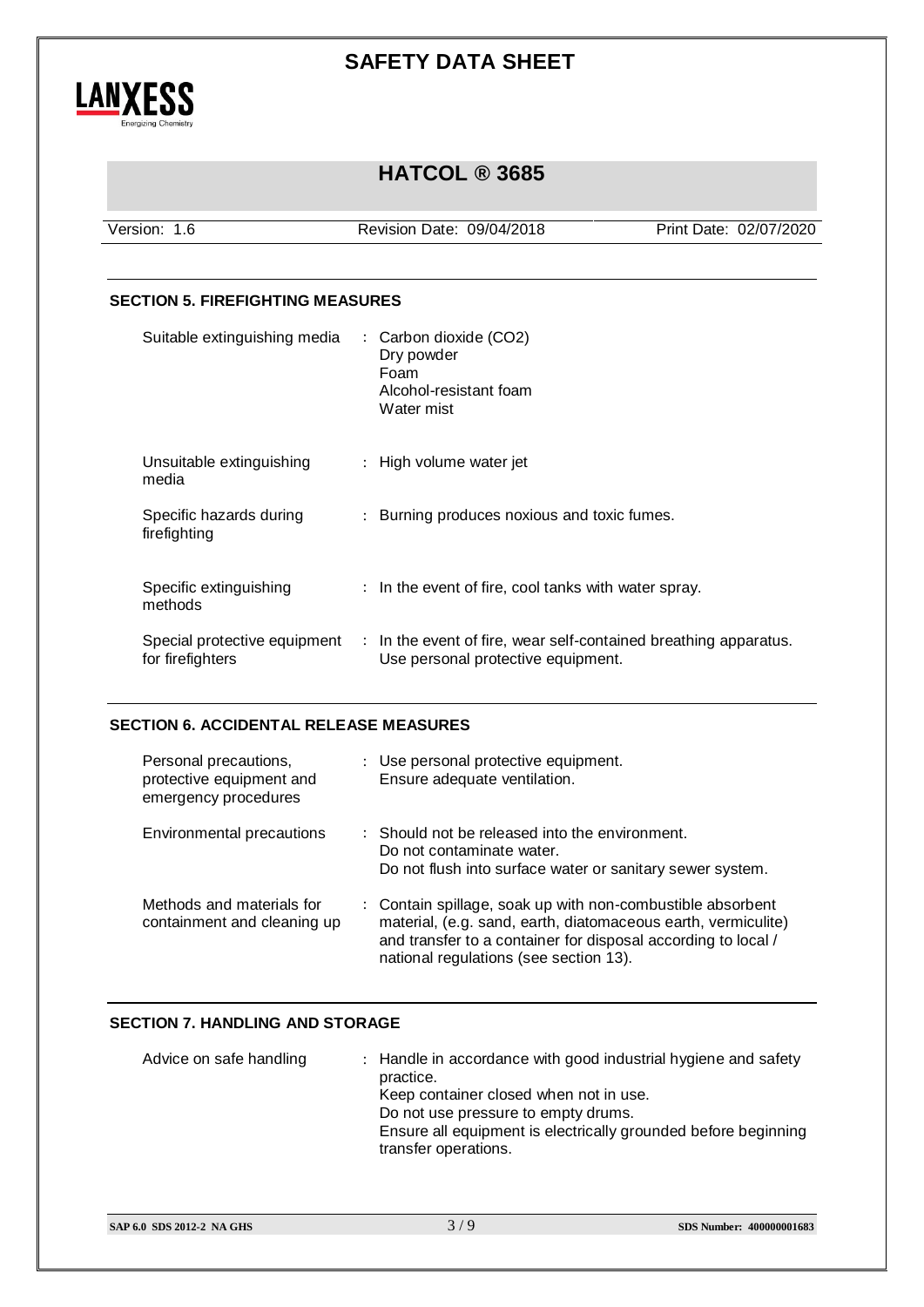

# **HATCOL ® 3685**

Version: 1.6 Revision Date: 09/04/2018 Print Date: 02/07/2020

### **SECTION 5. FIREFIGHTING MEASURES**

| Suitable extinguishing media                     | : Carbon dioxide (CO2)<br>Dry powder<br>Foam<br>Alcohol-resistant foam<br>Water mist                   |
|--------------------------------------------------|--------------------------------------------------------------------------------------------------------|
| Unsuitable extinguishing<br>media                | : High volume water jet                                                                                |
| Specific hazards during<br>firefighting          | : Burning produces noxious and toxic fumes.                                                            |
| Specific extinguishing<br>methods                | : In the event of fire, cool tanks with water spray.                                                   |
| Special protective equipment<br>for firefighters | : In the event of fire, wear self-contained breathing apparatus.<br>Use personal protective equipment. |

### **SECTION 6. ACCIDENTAL RELEASE MEASURES**

| Personal precautions,<br>protective equipment and<br>emergency procedures | : Use personal protective equipment.<br>Ensure adequate ventilation.                                                                                                                                                                   |
|---------------------------------------------------------------------------|----------------------------------------------------------------------------------------------------------------------------------------------------------------------------------------------------------------------------------------|
| Environmental precautions                                                 | $\therefore$ Should not be released into the environment.<br>Do not contaminate water.<br>Do not flush into surface water or sanitary sewer system.                                                                                    |
| Methods and materials for<br>containment and cleaning up                  | : Contain spillage, soak up with non-combustible absorbent<br>material, (e.g. sand, earth, diatomaceous earth, vermiculite)<br>and transfer to a container for disposal according to local /<br>national regulations (see section 13). |

### **SECTION 7. HANDLING AND STORAGE**

| Advice on safe handling | : Handle in accordance with good industrial hygiene and safety<br>practice.<br>Keep container closed when not in use.<br>Do not use pressure to empty drums.<br>Ensure all equipment is electrically grounded before beginning<br>transfer operations. |
|-------------------------|--------------------------------------------------------------------------------------------------------------------------------------------------------------------------------------------------------------------------------------------------------|
|-------------------------|--------------------------------------------------------------------------------------------------------------------------------------------------------------------------------------------------------------------------------------------------------|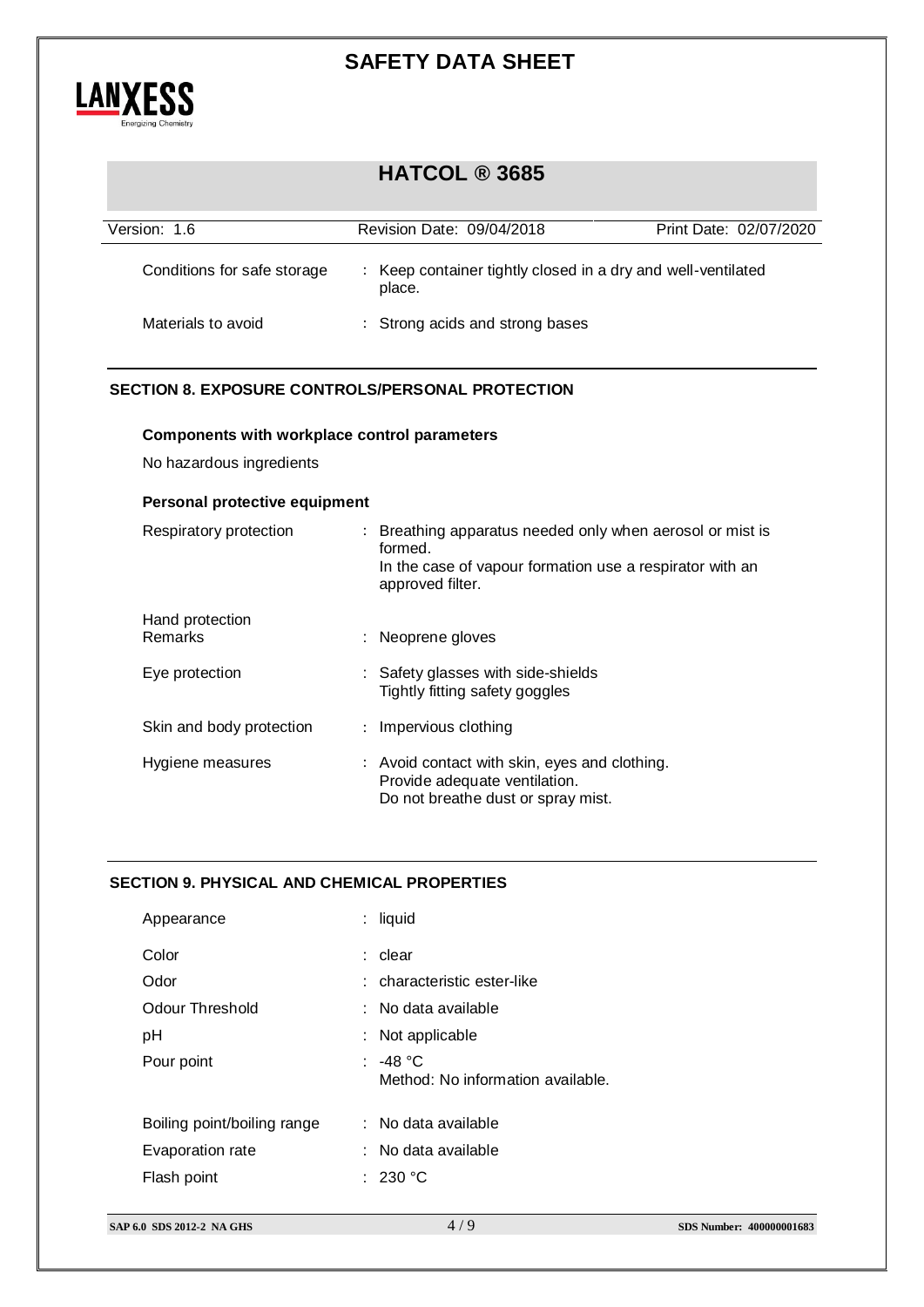

# **HATCOL ® 3685**

| Version: 1.6                | Revision Date: 09/04/2018                                              | Print Date: 02/07/2020 |
|-----------------------------|------------------------------------------------------------------------|------------------------|
| Conditions for safe storage | : Keep container tightly closed in a dry and well-ventilated<br>place. |                        |
| Materials to avoid          | : Strong acids and strong bases                                        |                        |

### **SECTION 8. EXPOSURE CONTROLS/PERSONAL PROTECTION**

### **Components with workplace control parameters**

No hazardous ingredients

### **Personal protective equipment**

| Respiratory protection     | : Breathing apparatus needed only when aerosol or mist is<br>formed.<br>In the case of vapour formation use a respirator with an<br>approved filter. |
|----------------------------|------------------------------------------------------------------------------------------------------------------------------------------------------|
| Hand protection<br>Remarks | : Neoprene gloves                                                                                                                                    |
| Eye protection             | : Safety glasses with side-shields<br>Tightly fitting safety goggles                                                                                 |
| Skin and body protection   | : Impervious clothing                                                                                                                                |
| Hygiene measures           | : Avoid contact with skin, eyes and clothing.<br>Provide adequate ventilation.<br>Do not breathe dust or spray mist.                                 |

### **SECTION 9. PHYSICAL AND CHEMICAL PROPERTIES**

| Appearance                  | $:$ liquid                                    |
|-----------------------------|-----------------------------------------------|
| Color                       | $:$ clear                                     |
| Odor                        | : characteristic ester-like                   |
| <b>Odour Threshold</b>      | : No data available                           |
| pH                          | : Not applicable                              |
| Pour point                  | : -48 °C<br>Method: No information available. |
| Boiling point/boiling range | : No data available                           |
| Evaporation rate            | : No data available                           |
| Flash point                 | : 230 °C                                      |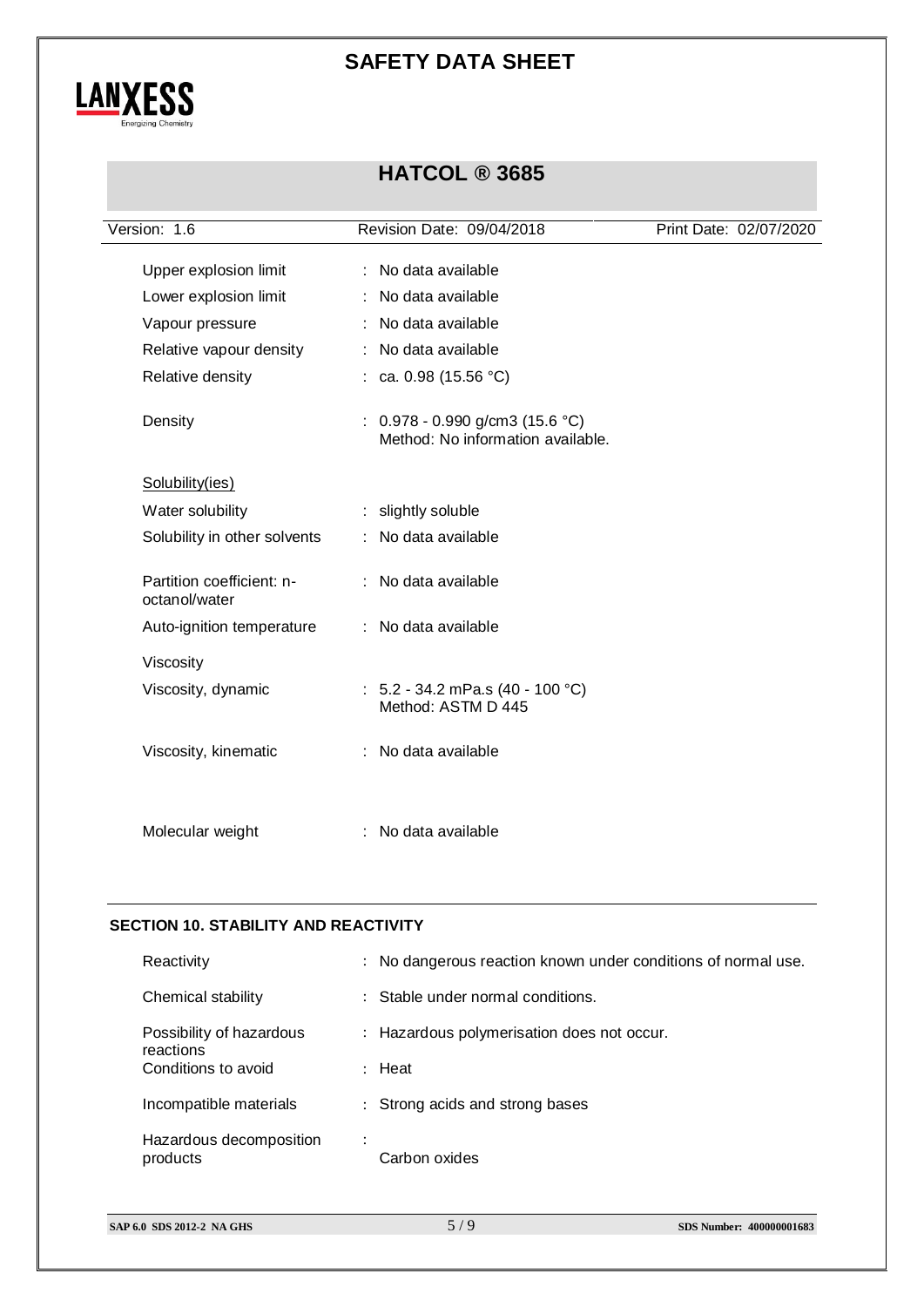

## **HATCOL ® 3685**

| Version: 1.6                               | Revision Date: 09/04/2018                                              | Print Date: 02/07/2020 |
|--------------------------------------------|------------------------------------------------------------------------|------------------------|
| Upper explosion limit                      | : No data available                                                    |                        |
| Lower explosion limit                      | : No data available                                                    |                        |
| Vapour pressure                            | : No data available                                                    |                        |
| Relative vapour density                    | : No data available                                                    |                        |
| Relative density                           | : ca. 0.98 $(15.56 °C)$                                                |                        |
| Density                                    | $: 0.978 - 0.990$ g/cm3 (15.6 °C)<br>Method: No information available. |                        |
| Solubility(ies)                            |                                                                        |                        |
| Water solubility                           | : slightly soluble                                                     |                        |
| Solubility in other solvents               | : No data available                                                    |                        |
| Partition coefficient: n-<br>octanol/water | : No data available                                                    |                        |
| Auto-ignition temperature                  | : No data available                                                    |                        |
| Viscosity                                  |                                                                        |                        |
| Viscosity, dynamic                         | : $5.2 - 34.2$ mPa.s (40 - 100 °C)<br>Method: ASTM D 445               |                        |
| Viscosity, kinematic                       | : No data available                                                    |                        |
| Molecular weight                           | No data available                                                      |                        |

### **SECTION 10. STABILITY AND REACTIVITY**

| Reactivity                            | : No dangerous reaction known under conditions of normal use. |  |
|---------------------------------------|---------------------------------------------------------------|--|
| Chemical stability                    | : Stable under normal conditions.                             |  |
| Possibility of hazardous<br>reactions | : Hazardous polymerisation does not occur.                    |  |
| Conditions to avoid                   | $:$ Heat                                                      |  |
| Incompatible materials                | : Strong acids and strong bases                               |  |
| Hazardous decomposition<br>products   | ÷<br>Carbon oxides                                            |  |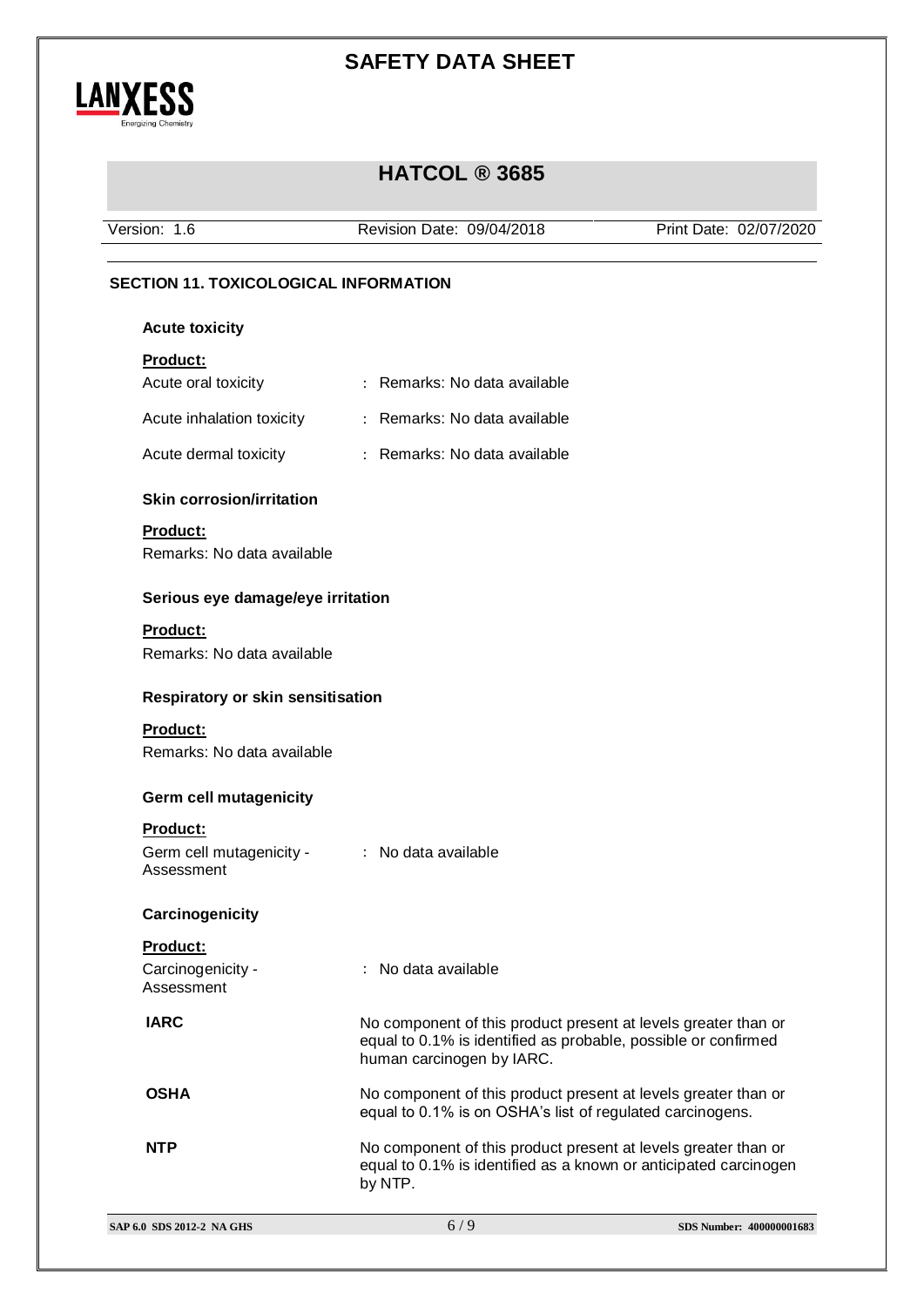

## **HATCOL ® 3685**

Version: 1.6 Revision Date: 09/04/2018 Print Date: 02/07/2020

### **SECTION 11. TOXICOLOGICAL INFORMATION**

#### **Acute toxicity**

### **Product:**

| Acute oral toxicity                    | : Remarks: No data available |
|----------------------------------------|------------------------------|
| Acute inhalation toxicity              | : Remarks: No data available |
| Acute dermal toxicity                  | : Remarks: No data available |
| <b>Skin corrosion/irritation</b>       |                              |
| <b>Product:</b>                        |                              |
| Remarks: No data available             |                              |
| Serious eye damage/eye irritation      |                              |
| <b>Product:</b>                        |                              |
| Remarks: No data available             |                              |
|                                        |                              |
| Respiratory or skin sensitisation      |                              |
| <b>Product:</b>                        |                              |
| Remarks: No data available             |                              |
| <b>Germ cell mutagenicity</b>          |                              |
|                                        |                              |
| Product:                               |                              |
| Germ cell mutagenicity -<br>Assessment | : No data available          |
|                                        |                              |
| Carcinogenicity                        |                              |
| Product:                               |                              |
| Carcinogenicity -                      | : No data available          |
| Assessment                             |                              |
|                                        |                              |

**IARC** No component of this product present at levels greater than or equal to 0.1% is identified as probable, possible or confirmed human carcinogen by IARC.

**OSHA** No component of this product present at levels greater than or equal to 0.1% is on OSHA's list of regulated carcinogens.

**NTP** No component of this product present at levels greater than or equal to 0.1% is identified as a known or anticipated carcinogen by NTP.

|  | SAP 6.0 SDS 2012-2 NA GHS |  |  |
|--|---------------------------|--|--|
|--|---------------------------|--|--|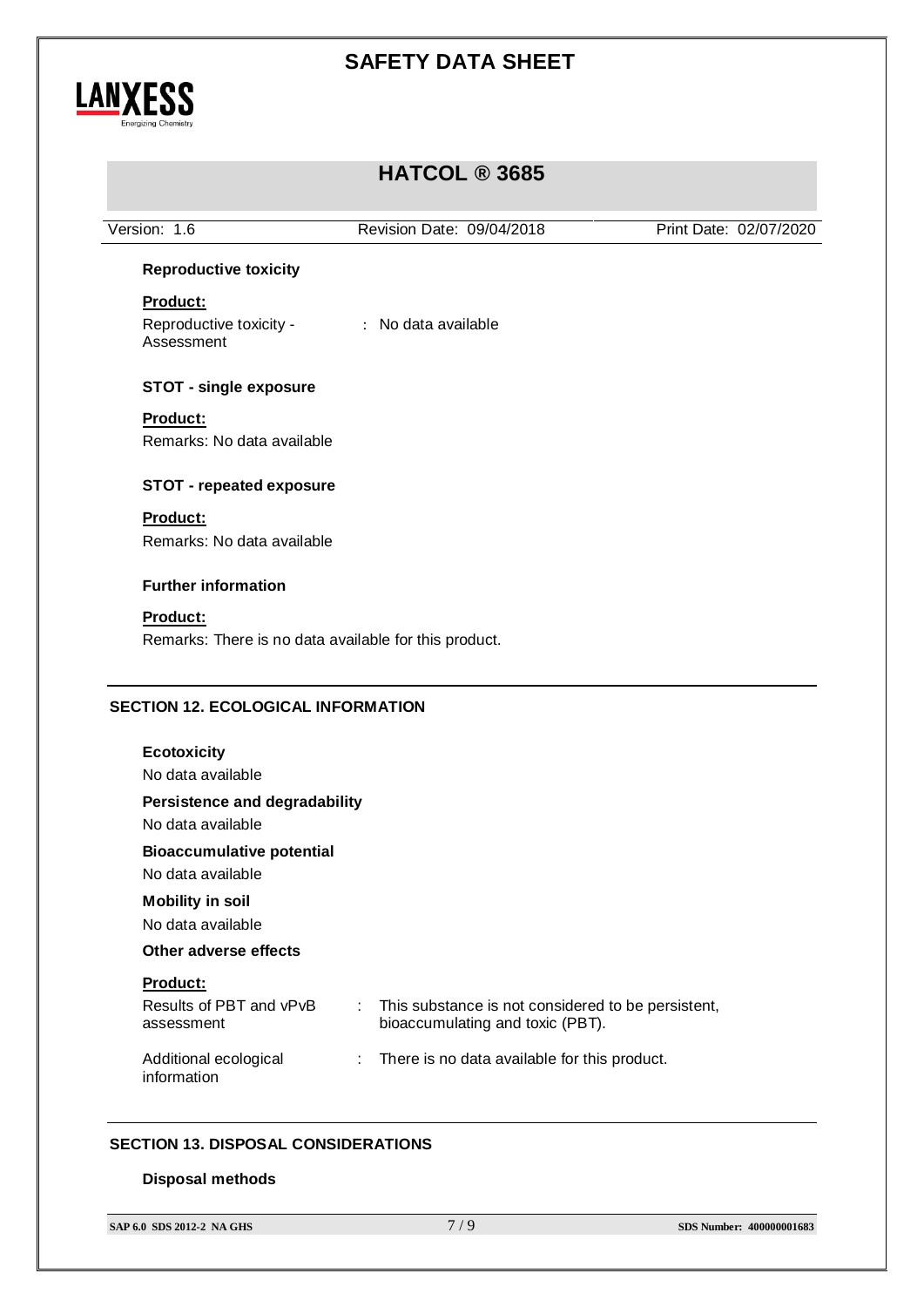

# **HATCOL ® 3685**

|                                                                | Revision Date: 09/04/2018                               | Print Date: 02/07/2020 |
|----------------------------------------------------------------|---------------------------------------------------------|------------------------|
| <b>Reproductive toxicity</b>                                   |                                                         |                        |
| Product:                                                       |                                                         |                        |
| Reproductive toxicity -                                        | : No data available                                     |                        |
| Assessment                                                     |                                                         |                        |
| <b>STOT - single exposure</b>                                  |                                                         |                        |
| Product:                                                       |                                                         |                        |
| Remarks: No data available                                     |                                                         |                        |
| <b>STOT - repeated exposure</b>                                |                                                         |                        |
| Product:                                                       |                                                         |                        |
| Remarks: No data available                                     |                                                         |                        |
| <b>Further information</b>                                     |                                                         |                        |
| <b>Product:</b>                                                |                                                         |                        |
| Remarks: There is no data available for this product.          |                                                         |                        |
|                                                                |                                                         |                        |
| <b>Ecotoxicity</b>                                             |                                                         |                        |
| No data available                                              |                                                         |                        |
| <b>Persistence and degradability</b><br>No data available      |                                                         |                        |
| <b>Bioaccumulative potential</b>                               |                                                         |                        |
| <b>SECTION 12. ECOLOGICAL INFORMATION</b><br>No data available |                                                         |                        |
| <b>Mobility in soil</b>                                        |                                                         |                        |
| No data available                                              |                                                         |                        |
| Other adverse effects                                          |                                                         |                        |
| Product:                                                       |                                                         |                        |
| Results of PBT and vPvB                                        | This substance is not considered to be persistent,<br>÷ |                        |
| assessment                                                     | bioaccumulating and toxic (PBT).                        |                        |

### **SECTION 13. DISPOSAL CONSIDERATIONS**

#### **Disposal methods**

information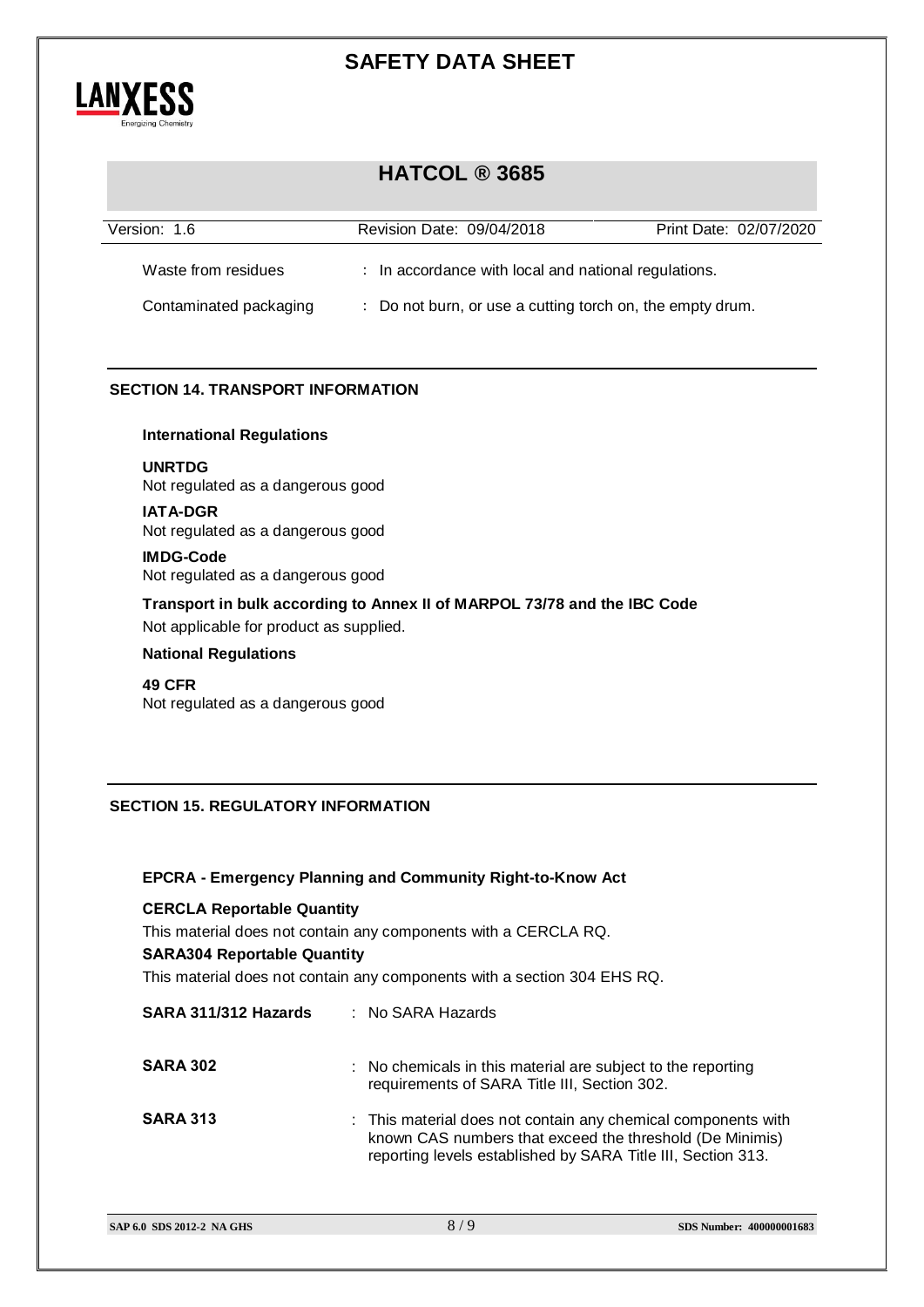

### **HATCOL ® 3685**

| Version: 1.6           | Revision Date: 09/04/2018                                 | Print Date: 02/07/2020 |
|------------------------|-----------------------------------------------------------|------------------------|
| Waste from residues    | : In accordance with local and national regulations.      |                        |
| Contaminated packaging | : Do not burn, or use a cutting torch on, the empty drum. |                        |

### **SECTION 14. TRANSPORT INFORMATION**

### **International Regulations**

**UNRTDG**

Not regulated as a dangerous good

### **IATA-DGR**

Not regulated as a dangerous good

### **IMDG-Code**

Not regulated as a dangerous good

**Transport in bulk according to Annex II of MARPOL 73/78 and the IBC Code** Not applicable for product as supplied.

### **National Regulations**

### **49 CFR**

Not regulated as a dangerous good

### **SECTION 15. REGULATORY INFORMATION**

### **EPCRA - Emergency Planning and Community Right-to-Know Act**

### **CERCLA Reportable Quantity**

This material does not contain any components with a CERCLA RQ.

#### **SARA304 Reportable Quantity**

This material does not contain any components with a section 304 EHS RQ.

| SARA 311/312 Hazards | $:$ No SARA Hazards                                                                                                                                                                       |
|----------------------|-------------------------------------------------------------------------------------------------------------------------------------------------------------------------------------------|
| <b>SARA 302</b>      | : No chemicals in this material are subject to the reporting<br>requirements of SARA Title III, Section 302.                                                                              |
| <b>SARA 313</b>      | : This material does not contain any chemical components with<br>known CAS numbers that exceed the threshold (De Minimis)<br>reporting levels established by SARA Title III, Section 313. |